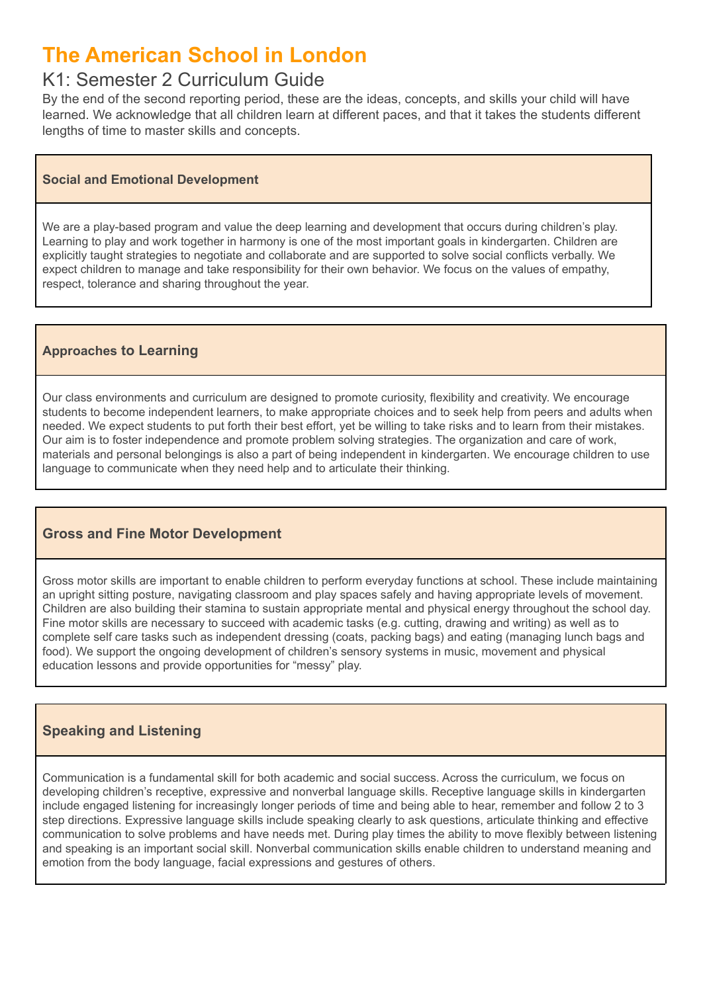# **The American School in London**

## K1: Semester 2 Curriculum Guide

By the end of the second reporting period, these are the ideas, concepts, and skills your child will have learned. We acknowledge that all children learn at different paces, and that it takes the students different lengths of time to master skills and concepts.

#### **Social and Emotional Development**

We are a play-based program and value the deep learning and development that occurs during children's play. Learning to play and work together in harmony is one of the most important goals in kindergarten. Children are explicitly taught strategies to negotiate and collaborate and are supported to solve social conflicts verbally. We expect children to manage and take responsibility for their own behavior. We focus on the values of empathy, respect, tolerance and sharing throughout the year.

#### **Approaches to Learning**

Our class environments and curriculum are designed to promote curiosity, flexibility and creativity. We encourage students to become independent learners, to make appropriate choices and to seek help from peers and adults when needed. We expect students to put forth their best effort, yet be willing to take risks and to learn from their mistakes. Our aim is to foster independence and promote problem solving strategies. The organization and care of work, materials and personal belongings is also a part of being independent in kindergarten. We encourage children to use language to communicate when they need help and to articulate their thinking.

#### **Gross and Fine Motor Development**

Gross motor skills are important to enable children to perform everyday functions at school. These include maintaining an upright sitting posture, navigating classroom and play spaces safely and having appropriate levels of movement. Children are also building their stamina to sustain appropriate mental and physical energy throughout the school day. Fine motor skills are necessary to succeed with academic tasks (e.g. cutting, drawing and writing) as well as to complete self care tasks such as independent dressing (coats, packing bags) and eating (managing lunch bags and food). We support the ongoing development of children's sensory systems in music, movement and physical education lessons and provide opportunities for "messy" play.

### **Speaking and Listening**

Communication is a fundamental skill for both academic and social success. Across the curriculum, we focus on developing children's receptive, expressive and nonverbal language skills. Receptive language skills in kindergarten include engaged listening for increasingly longer periods of time and being able to hear, remember and follow 2 to 3 step directions. Expressive language skills include speaking clearly to ask questions, articulate thinking and effective communication to solve problems and have needs met. During play times the ability to move flexibly between listening and speaking is an important social skill. Nonverbal communication skills enable children to understand meaning and emotion from the body language, facial expressions and gestures of others.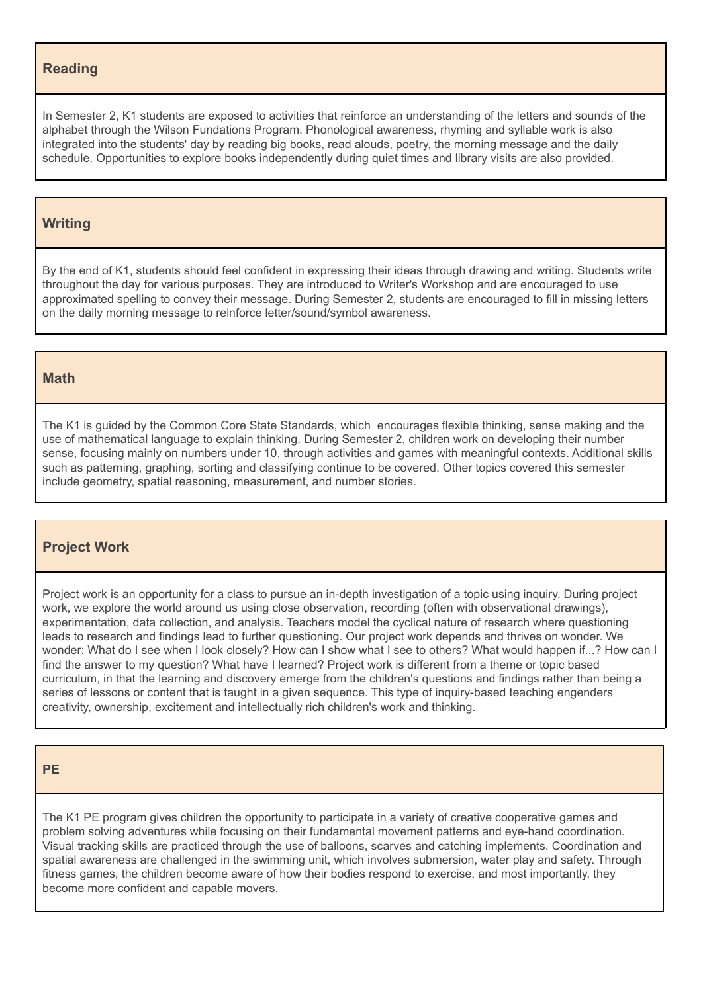#### **Reading**

In Semester 2, K1 students are exposed to activities that reinforce an understanding of the letters and sounds of the alphabet through the Wilson Fundations Program. Phonological awareness, rhyming and syllable work is also integrated into the students' day by reading big books, read alouds, poetry, the morning message and the daily schedule. Opportunities to explore books independently during quiet times and library visits are also provided.

#### **Writing**

By the end of K1, students should feel confident in expressing their ideas through drawing and writing. Students write throughout the day for various purposes. They are introduced to Writer's Workshop and are encouraged to use approximated spelling to convey their message. During Semester 2, students are encouraged to fill in missing letters on the daily morning message to reinforce letter/sound/symbol awareness.

#### **Math**

The K1 is guided by the Common Core State Standards, which encourages flexible thinking, sense making and the use of mathematical language to explain thinking. During Semester 2, children work on developing their number sense, focusing mainly on numbers under 10, through activities and games with meaningful contexts. Additional skills such as patterning, graphing, sorting and classifying continue to be covered. Other topics covered this semester include geometry, spatial reasoning, measurement, and number stories.

#### **Project Work**

Project work is an opportunity for a class to pursue an in-depth investigation of a topic using inquiry. During project work, we explore the world around us using close observation, recording (often with observational drawings), experimentation, data collection, and analysis. Teachers model the cyclical nature of research where questioning leads to research and findings lead to further questioning. Our project work depends and thrives on wonder. We wonder: What do I see when I look closely? How can I show what I see to others? What would happen if...? How can I find the answer to my question? What have I learned? Project work is different from a theme or topic based curriculum, in that the learning and discovery emerge from the children's questions and findings rather than being a series of lessons or content that is taught in a given sequence. This type of inquiry-based teaching engenders creativity, ownership, excitement and intellectually rich children's work and thinking.

#### **PE**

The K1 PE program gives children the opportunity to participate in a variety of creative cooperative games and problem solving adventures while focusing on their fundamental movement patterns and eye-hand coordination. Visual tracking skills are practiced through the use of balloons, scarves and catching implements. Coordination and spatial awareness are challenged in the swimming unit, which involves submersion, water play and safety. Through fitness games, the children become aware of how their bodies respond to exercise, and most importantly, they become more confident and capable movers.